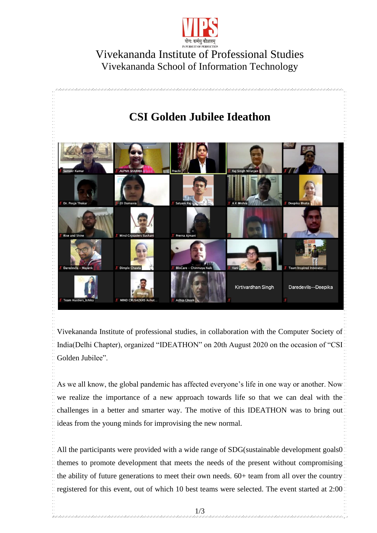

## Vivekananda Institute of Professional Studies Vivekananda School of Information Technology



Vivekananda Institute of professional studies, in collaboration with the Computer Society of India(Delhi Chapter), organized "IDEATHON" on 20th August 2020 on the occasion of "CSI" Golden Jubilee".

As we all know, the global pandemic has affected everyone's life in one way or another. Now we realize the importance of a new approach towards life so that we can deal with the challenges in a better and smarter way. The motive of this IDEATHON was to bring out ideas from the young minds for improvising the new normal.

All the participants were provided with a wide range of SDG(sustainable development goals0) themes to promote development that meets the needs of the present without compromising the ability of future generations to meet their own needs. 60+ team from all over the country registered for this event, out of which 10 best teams were selected. The event started at 2:00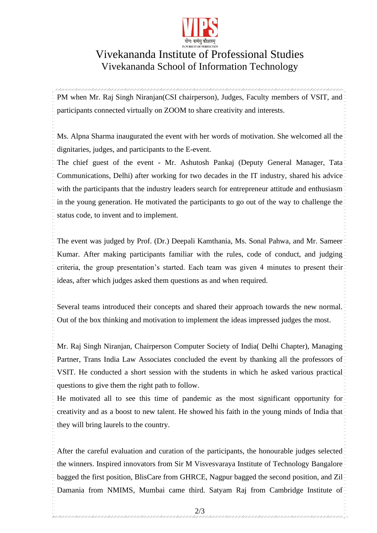

## Vivekananda Institute of Professional Studies Vivekananda School of Information Technology

PM when Mr. Raj Singh Niranjan(CSI chairperson), Judges, Faculty members of VSIT, and participants connected virtually on ZOOM to share creativity and interests.

Ms. Alpna Sharma inaugurated the event with her words of motivation. She welcomed all the dignitaries, judges, and participants to the E-event.

The chief guest of the event - Mr. Ashutosh Pankaj (Deputy General Manager, Tata Communications, Delhi) after working for two decades in the IT industry, shared his advice with the participants that the industry leaders search for entrepreneur attitude and enthusiasm in the young generation. He motivated the participants to go out of the way to challenge the status code, to invent and to implement.

The event was judged by Prof. (Dr.) Deepali Kamthania, Ms. Sonal Pahwa, and Mr. Sameer Kumar. After making participants familiar with the rules, code of conduct, and judging criteria, the group presentation's started. Each team was given 4 minutes to present their ideas, after which judges asked them questions as and when required.

Several teams introduced their concepts and shared their approach towards the new normal. Out of the box thinking and motivation to implement the ideas impressed judges the most.

Mr. Raj Singh Niranjan, Chairperson Computer Society of India( Delhi Chapter), Managing Partner, Trans India Law Associates concluded the event by thanking all the professors of VSIT. He conducted a short session with the students in which he asked various practical questions to give them the right path to follow.

He motivated all to see this time of pandemic as the most significant opportunity for creativity and as a boost to new talent. He showed his faith in the young minds of India that they will bring laurels to the country.

After the careful evaluation and curation of the participants, the honourable judges selected the winners. Inspired innovators from Sir M Visvesvaraya Institute of Technology Bangalore bagged the first position, BlisCare from GHRCE, Nagpur bagged the second position, and Zil Damania from NMIMS, Mumbai came third. Satyam Raj from Cambridge Institute of